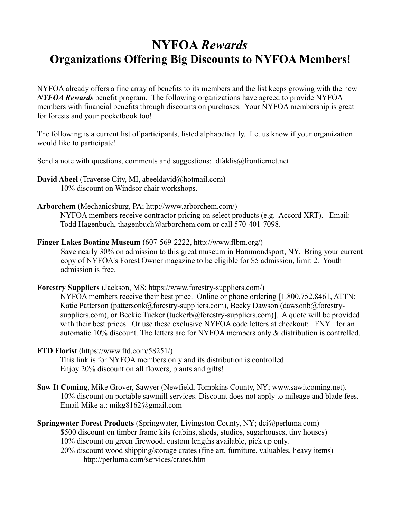## **NYFOA** *Rewards* **Organizations Offering Big Discounts to NYFOA Members!**

NYFOA already offers a fine array of benefits to its members and the list keeps growing with the new *NYFOA Rewards* benefit program. The following organizations have agreed to provide NYFOA members with financial benefits through discounts on purchases. Your NYFOA membership is great for forests and your pocketbook too!

The following is a current list of participants, listed alphabetically. Let us know if your organization would like to participate!

Send a note with questions, comments and suggestions: dfaklis@frontiernet.net

- **David Abeel** (Traverse City, MI, abeeldavid@hotmail.com) 10% discount on Windsor chair workshops.
- **Arborchem** (Mechanicsburg, PA; http://www.arborchem.com/) NYFOA members receive contractor pricing on select products (e.g. Accord XRT). Email: Todd Hagenbuch, thagenbuch@arborchem.com or call 570-401-7098.
- **Finger Lakes Boating Museum** (607-569-2222, http://www.flbm.org/) Save nearly 30% on admission to this great museum in Hammondsport, NY. Bring your current copy of NYFOA's Forest Owner magazine to be eligible for \$5 admission, limit 2. Youth admission is free.

**Forestry Suppliers** (Jackson, MS; https://www.forestry-suppliers.com/) NYFOA members receive their best price. Online or phone ordering [1.800.752.8461, ATTN: Katie Patterson (pattersonk@forestry-suppliers.com), Becky Dawson (dawsonb@forestrysuppliers.com), or Beckie Tucker (tuckerb@forestry-suppliers.com)]. A quote will be provided with their best prices. Or use these exclusive NYFOA code letters at checkout: FNY for an automatic 10% discount. The letters are for NYFOA members only & distribution is controlled.

- **FTD Florist** (https://www.ftd.com/58251/) This link is for NYFOA members only and its distribution is controlled. Enjoy 20% discount on all flowers, plants and gifts!
- **Saw It Coming**, Mike Grover, Sawyer (Newfield, Tompkins County, NY; www.sawitcoming.net). 10% discount on portable sawmill services. Discount does not apply to mileage and blade fees. Email Mike at: mikg8162@gmail.com

**Springwater Forest Products** (Springwater, Livingston County, NY; dci@perluma.com) \$500 discount on timber frame kits (cabins, sheds, studios, sugarhouses, tiny houses) 10% discount on green firewood, custom lengths available, pick up only. 20% discount wood shipping/storage crates (fine art, furniture, valuables, heavy items) http://perluma.com/services/crates.htm